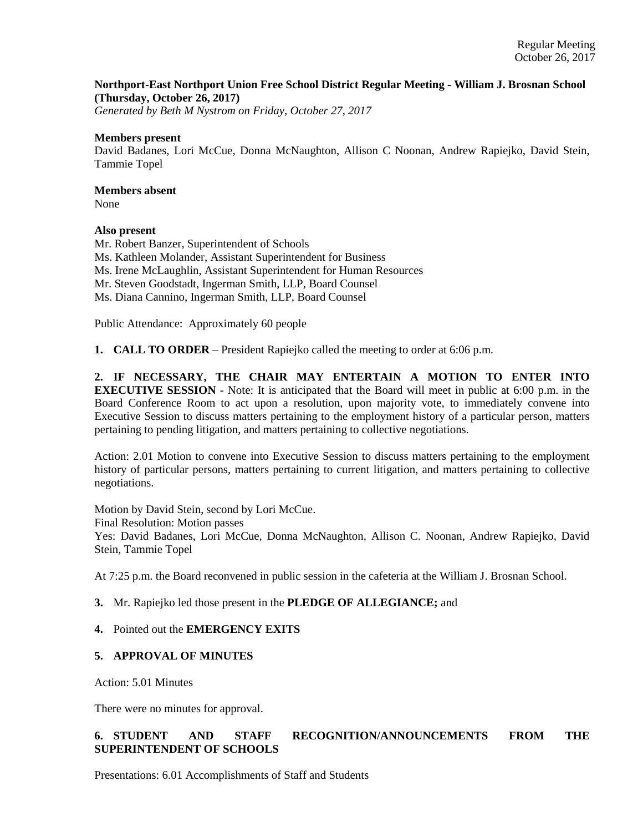## **Northport-East Northport Union Free School District Regular Meeting - William J. Brosnan School (Thursday, October 26, 2017)**

*Generated by Beth M Nystrom on Friday, October 27, 2017*

#### **Members present**

David Badanes, Lori McCue, Donna McNaughton, Allison C Noonan, Andrew Rapiejko, David Stein, Tammie Topel

# **Members absent**

None

## **Also present**

Mr. Robert Banzer, Superintendent of Schools Ms. Kathleen Molander, Assistant Superintendent for Business Ms. Irene McLaughlin, Assistant Superintendent for Human Resources Mr. Steven Goodstadt, Ingerman Smith, LLP, Board Counsel Ms. Diana Cannino, Ingerman Smith, LLP, Board Counsel

Public Attendance: Approximately 60 people

**1. CALL TO ORDER** – President Rapiejko called the meeting to order at 6:06 p.m.

**2. IF NECESSARY, THE CHAIR MAY ENTERTAIN A MOTION TO ENTER INTO EXECUTIVE SESSION** - Note: It is anticipated that the Board will meet in public at 6:00 p.m. in the Board Conference Room to act upon a resolution, upon majority vote, to immediately convene into Executive Session to discuss matters pertaining to the employment history of a particular person, matters pertaining to pending litigation, and matters pertaining to collective negotiations.

Action: 2.01 Motion to convene into Executive Session to discuss matters pertaining to the employment history of particular persons, matters pertaining to current litigation, and matters pertaining to collective negotiations.

Motion by David Stein, second by Lori McCue.

Final Resolution: Motion passes

Yes: David Badanes, Lori McCue, Donna McNaughton, Allison C. Noonan, Andrew Rapiejko, David Stein, Tammie Topel

At 7:25 p.m. the Board reconvened in public session in the cafeteria at the William J. Brosnan School.

## **3.** Mr. Rapiejko led those present in the **PLEDGE OF ALLEGIANCE;** and

## **4.** Pointed out the **EMERGENCY EXITS**

## **5. APPROVAL OF MINUTES**

Action: 5.01 Minutes

There were no minutes for approval.

# **6. STUDENT AND STAFF RECOGNITION/ANNOUNCEMENTS FROM THE SUPERINTENDENT OF SCHOOLS**

Presentations: 6.01 Accomplishments of Staff and Students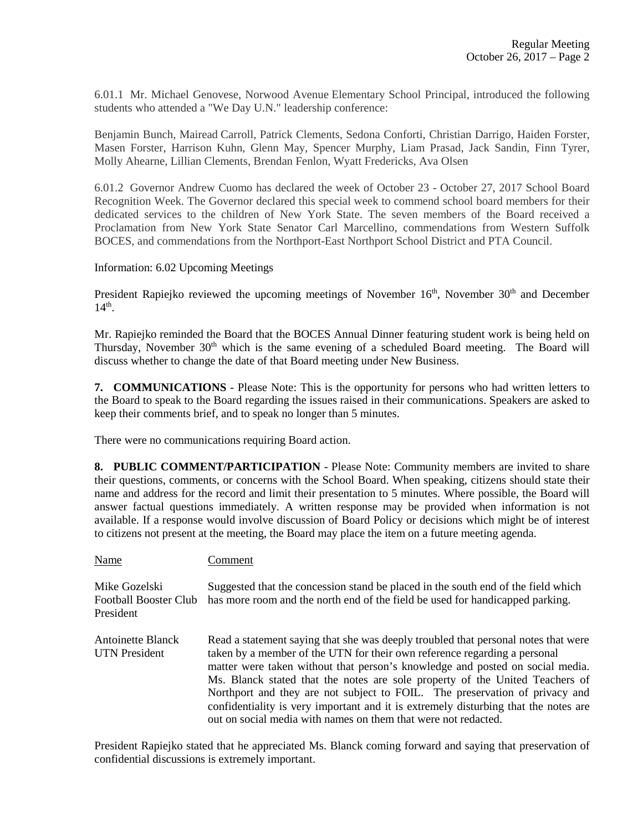6.01.1 Mr. Michael Genovese, Norwood Avenue Elementary School Principal, introduced the following students who attended a "We Day U.N." leadership conference:

Benjamin Bunch, Mairead Carroll, Patrick Clements, Sedona Conforti, Christian Darrigo, Haiden Forster, Masen Forster, Harrison Kuhn, Glenn May, Spencer Murphy, Liam Prasad, Jack Sandin, Finn Tyrer, Molly Ahearne, Lillian Clements, Brendan Fenlon, Wyatt Fredericks, Ava Olsen

6.01.2 Governor Andrew Cuomo has declared the week of October 23 - October 27, 2017 School Board Recognition Week. The Governor declared this special week to commend school board members for their dedicated services to the children of New York State. The seven members of the Board received a Proclamation from New York State Senator Carl Marcellino, commendations from Western Suffolk BOCES, and commendations from the Northport-East Northport School District and PTA Council.

#### Information: 6.02 Upcoming Meetings

President Rapiejko reviewed the upcoming meetings of November 16<sup>th</sup>, November 30<sup>th</sup> and December  $14<sup>th</sup>$ .

Mr. Rapiejko reminded the Board that the BOCES Annual Dinner featuring student work is being held on Thursday, November 30<sup>th</sup> which is the same evening of a scheduled Board meeting. The Board will discuss whether to change the date of that Board meeting under New Business.

**7. COMMUNICATIONS** - Please Note: This is the opportunity for persons who had written letters to the Board to speak to the Board regarding the issues raised in their communications. Speakers are asked to keep their comments brief, and to speak no longer than 5 minutes.

There were no communications requiring Board action.

**8. PUBLIC COMMENT/PARTICIPATION** - Please Note: Community members are invited to share their questions, comments, or concerns with the School Board. When speaking, citizens should state their name and address for the record and limit their presentation to 5 minutes. Where possible, the Board will answer factual questions immediately. A written response may be provided when information is not available. If a response would involve discussion of Board Policy or decisions which might be of interest to citizens not present at the meeting, the Board may place the item on a future meeting agenda.

| Name                                                       | Comment                                                                                                                                                                                                                                                                                                                                                                                                                                                                                                                                                                  |
|------------------------------------------------------------|--------------------------------------------------------------------------------------------------------------------------------------------------------------------------------------------------------------------------------------------------------------------------------------------------------------------------------------------------------------------------------------------------------------------------------------------------------------------------------------------------------------------------------------------------------------------------|
| Mike Gozelski<br><b>Football Booster Club</b><br>President | Suggested that the concession stand be placed in the south end of the field which<br>has more room and the north end of the field be used for handicapped parking.                                                                                                                                                                                                                                                                                                                                                                                                       |
| <b>Antoinette Blanck</b><br><b>UTN</b> President           | Read a statement saying that she was deeply troubled that personal notes that were<br>taken by a member of the UTN for their own reference regarding a personal<br>matter were taken without that person's knowledge and posted on social media.<br>Ms. Blanck stated that the notes are sole property of the United Teachers of<br>Northport and they are not subject to FOIL. The preservation of privacy and<br>confidentiality is very important and it is extremely disturbing that the notes are<br>out on social media with names on them that were not redacted. |

President Rapiejko stated that he appreciated Ms. Blanck coming forward and saying that preservation of confidential discussions is extremely important.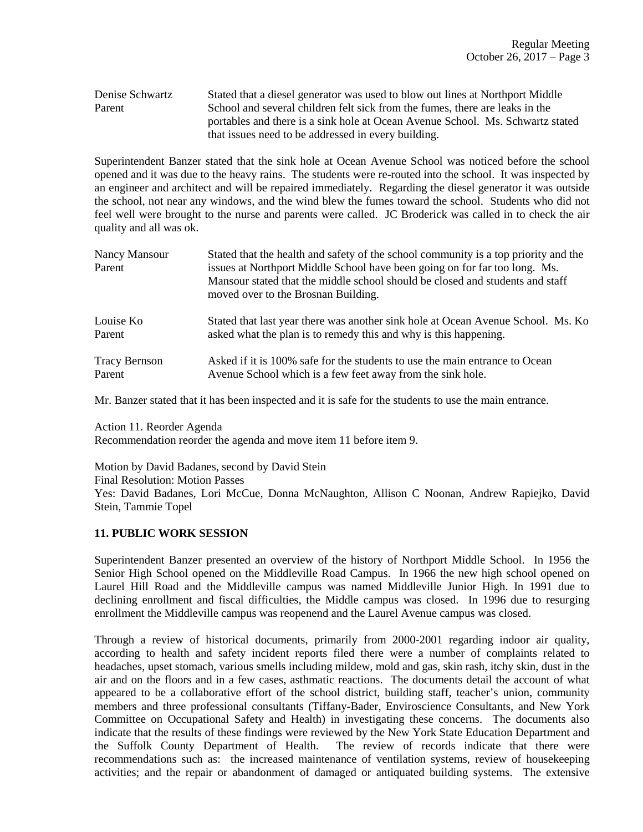### Denise Schwartz Stated that a diesel generator was used to blow out lines at Northport Middle Parent School and several children felt sick from the fumes, there are leaks in the portables and there is a sink hole at Ocean Avenue School. Ms. Schwartz stated that issues need to be addressed in every building.

Superintendent Banzer stated that the sink hole at Ocean Avenue School was noticed before the school opened and it was due to the heavy rains. The students were re-routed into the school. It was inspected by an engineer and architect and will be repaired immediately. Regarding the diesel generator it was outside the school, not near any windows, and the wind blew the fumes toward the school. Students who did not feel well were brought to the nurse and parents were called. JC Broderick was called in to check the air quality and all was ok.

| Nancy Mansour<br>Parent | Stated that the health and safety of the school community is a top priority and the<br>issues at Northport Middle School have been going on for far too long. Ms.<br>Mansour stated that the middle school should be closed and students and staff<br>moved over to the Brosnan Building. |
|-------------------------|-------------------------------------------------------------------------------------------------------------------------------------------------------------------------------------------------------------------------------------------------------------------------------------------|
| Louise Ko               | Stated that last year there was another sink hole at Ocean Avenue School. Ms. Ko                                                                                                                                                                                                          |
| Parent                  | asked what the plan is to remedy this and why is this happening.                                                                                                                                                                                                                          |
| <b>Tracy Bernson</b>    | Asked if it is 100% safe for the students to use the main entrance to Ocean                                                                                                                                                                                                               |
| Parent                  | Avenue School which is a few feet away from the sink hole.                                                                                                                                                                                                                                |

Mr. Banzer stated that it has been inspected and it is safe for the students to use the main entrance.

Action 11. Reorder Agenda

Recommendation reorder the agenda and move item 11 before item 9.

Motion by David Badanes, second by David Stein Final Resolution: Motion Passes Yes: David Badanes, Lori McCue, Donna McNaughton, Allison C Noonan, Andrew Rapiejko, David Stein, Tammie Topel

## **11. PUBLIC WORK SESSION**

Superintendent Banzer presented an overview of the history of Northport Middle School. In 1956 the Senior High School opened on the Middleville Road Campus. In 1966 the new high school opened on Laurel Hill Road and the Middleville campus was named Middleville Junior High. In 1991 due to declining enrollment and fiscal difficulties, the Middle campus was closed. In 1996 due to resurging enrollment the Middleville campus was reopenend and the Laurel Avenue campus was closed.

Through a review of historical documents, primarily from 2000-2001 regarding indoor air quality, according to health and safety incident reports filed there were a number of complaints related to headaches, upset stomach, various smells including mildew, mold and gas, skin rash, itchy skin, dust in the air and on the floors and in a few cases, asthmatic reactions. The documents detail the account of what appeared to be a collaborative effort of the school district, building staff, teacher's union, community members and three professional consultants (Tiffany-Bader, Enviroscience Consultants, and New York Committee on Occupational Safety and Health) in investigating these concerns. The documents also indicate that the results of these findings were reviewed by the New York State Education Department and the Suffolk County Department of Health. The review of records indicate that there were The review of records indicate that there were recommendations such as: the increased maintenance of ventilation systems, review of housekeeping activities; and the repair or abandonment of damaged or antiquated building systems. The extensive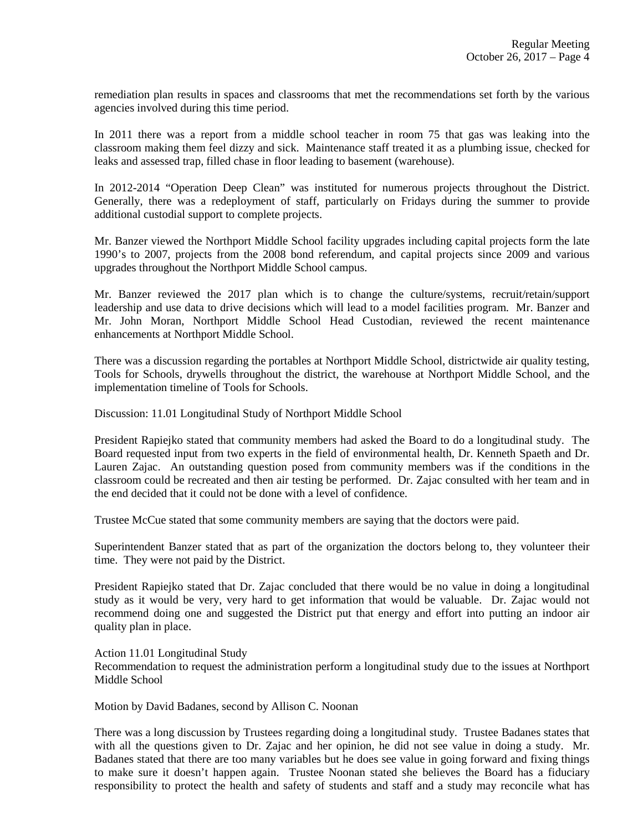remediation plan results in spaces and classrooms that met the recommendations set forth by the various agencies involved during this time period.

In 2011 there was a report from a middle school teacher in room 75 that gas was leaking into the classroom making them feel dizzy and sick. Maintenance staff treated it as a plumbing issue, checked for leaks and assessed trap, filled chase in floor leading to basement (warehouse).

In 2012-2014 "Operation Deep Clean" was instituted for numerous projects throughout the District. Generally, there was a redeployment of staff, particularly on Fridays during the summer to provide additional custodial support to complete projects.

Mr. Banzer viewed the Northport Middle School facility upgrades including capital projects form the late 1990's to 2007, projects from the 2008 bond referendum, and capital projects since 2009 and various upgrades throughout the Northport Middle School campus.

Mr. Banzer reviewed the 2017 plan which is to change the culture/systems, recruit/retain/support leadership and use data to drive decisions which will lead to a model facilities program. Mr. Banzer and Mr. John Moran, Northport Middle School Head Custodian, reviewed the recent maintenance enhancements at Northport Middle School.

There was a discussion regarding the portables at Northport Middle School, districtwide air quality testing, Tools for Schools, drywells throughout the district, the warehouse at Northport Middle School, and the implementation timeline of Tools for Schools.

Discussion: 11.01 Longitudinal Study of Northport Middle School

President Rapiejko stated that community members had asked the Board to do a longitudinal study. The Board requested input from two experts in the field of environmental health, Dr. Kenneth Spaeth and Dr. Lauren Zajac. An outstanding question posed from community members was if the conditions in the classroom could be recreated and then air testing be performed. Dr. Zajac consulted with her team and in the end decided that it could not be done with a level of confidence.

Trustee McCue stated that some community members are saying that the doctors were paid.

Superintendent Banzer stated that as part of the organization the doctors belong to, they volunteer their time. They were not paid by the District.

President Rapiejko stated that Dr. Zajac concluded that there would be no value in doing a longitudinal study as it would be very, very hard to get information that would be valuable. Dr. Zajac would not recommend doing one and suggested the District put that energy and effort into putting an indoor air quality plan in place.

#### Action 11.01 Longitudinal Study

Recommendation to request the administration perform a longitudinal study due to the issues at Northport Middle School

Motion by David Badanes, second by Allison C. Noonan

There was a long discussion by Trustees regarding doing a longitudinal study. Trustee Badanes states that with all the questions given to Dr. Zajac and her opinion, he did not see value in doing a study. Mr. Badanes stated that there are too many variables but he does see value in going forward and fixing things to make sure it doesn't happen again. Trustee Noonan stated she believes the Board has a fiduciary responsibility to protect the health and safety of students and staff and a study may reconcile what has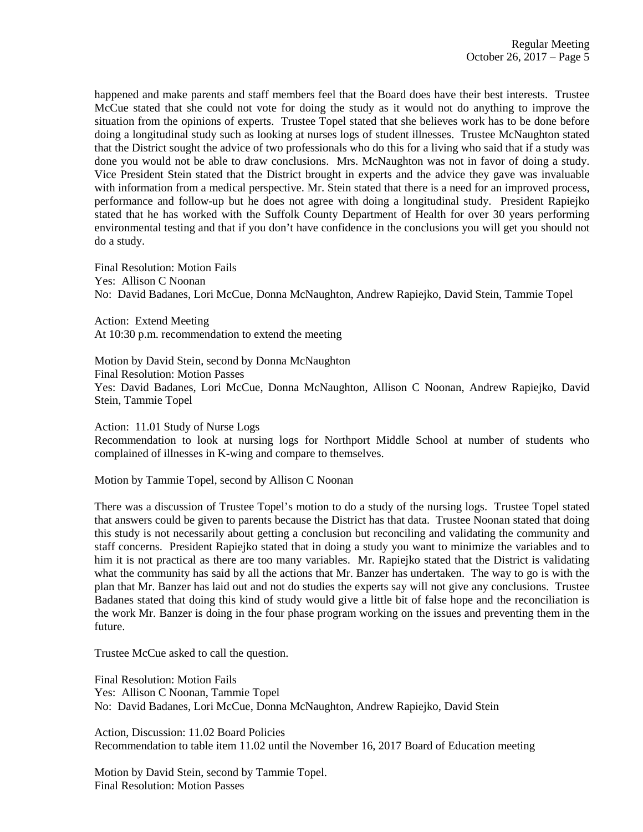happened and make parents and staff members feel that the Board does have their best interests. Trustee McCue stated that she could not vote for doing the study as it would not do anything to improve the situation from the opinions of experts. Trustee Topel stated that she believes work has to be done before doing a longitudinal study such as looking at nurses logs of student illnesses. Trustee McNaughton stated that the District sought the advice of two professionals who do this for a living who said that if a study was done you would not be able to draw conclusions. Mrs. McNaughton was not in favor of doing a study. Vice President Stein stated that the District brought in experts and the advice they gave was invaluable with information from a medical perspective. Mr. Stein stated that there is a need for an improved process, performance and follow-up but he does not agree with doing a longitudinal study. President Rapiejko stated that he has worked with the Suffolk County Department of Health for over 30 years performing environmental testing and that if you don't have confidence in the conclusions you will get you should not do a study.

Final Resolution: Motion Fails Yes: Allison C Noonan No: David Badanes, Lori McCue, Donna McNaughton, Andrew Rapiejko, David Stein, Tammie Topel

Action: Extend Meeting At 10:30 p.m. recommendation to extend the meeting

Motion by David Stein, second by Donna McNaughton Final Resolution: Motion Passes Yes: David Badanes, Lori McCue, Donna McNaughton, Allison C Noonan, Andrew Rapiejko, David Stein, Tammie Topel

Action: 11.01 Study of Nurse Logs

Recommendation to look at nursing logs for Northport Middle School at number of students who complained of illnesses in K-wing and compare to themselves.

Motion by Tammie Topel, second by Allison C Noonan

There was a discussion of Trustee Topel's motion to do a study of the nursing logs. Trustee Topel stated that answers could be given to parents because the District has that data. Trustee Noonan stated that doing this study is not necessarily about getting a conclusion but reconciling and validating the community and staff concerns. President Rapiejko stated that in doing a study you want to minimize the variables and to him it is not practical as there are too many variables. Mr. Rapiejko stated that the District is validating what the community has said by all the actions that Mr. Banzer has undertaken. The way to go is with the plan that Mr. Banzer has laid out and not do studies the experts say will not give any conclusions. Trustee Badanes stated that doing this kind of study would give a little bit of false hope and the reconciliation is the work Mr. Banzer is doing in the four phase program working on the issues and preventing them in the future.

Trustee McCue asked to call the question.

Final Resolution: Motion Fails Yes: Allison C Noonan, Tammie Topel No: David Badanes, Lori McCue, Donna McNaughton, Andrew Rapiejko, David Stein

Action, Discussion: 11.02 Board Policies Recommendation to table item 11.02 until the November 16, 2017 Board of Education meeting

Motion by David Stein, second by Tammie Topel. Final Resolution: Motion Passes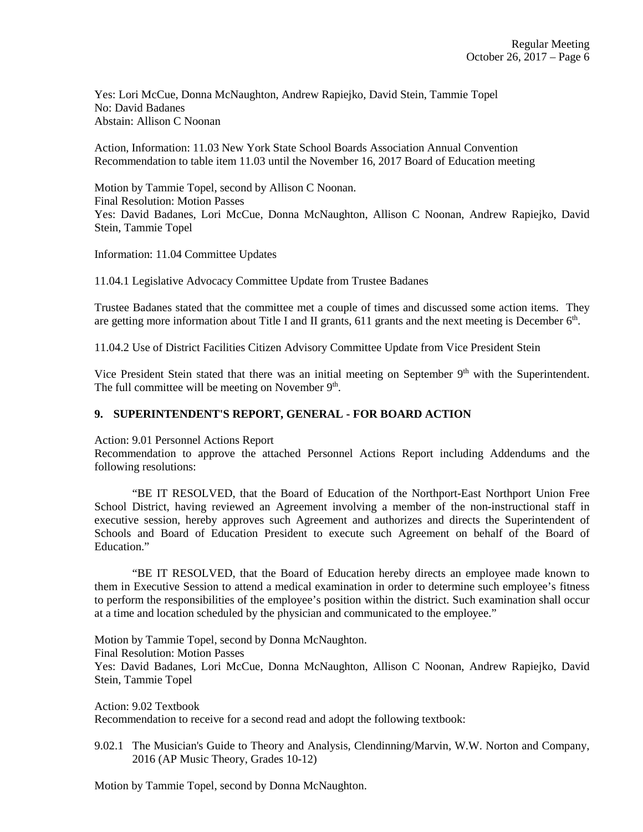Yes: Lori McCue, Donna McNaughton, Andrew Rapiejko, David Stein, Tammie Topel No: David Badanes Abstain: Allison C Noonan

Action, Information: 11.03 New York State School Boards Association Annual Convention Recommendation to table item 11.03 until the November 16, 2017 Board of Education meeting

Motion by Tammie Topel, second by Allison C Noonan. Final Resolution: Motion Passes Yes: David Badanes, Lori McCue, Donna McNaughton, Allison C Noonan, Andrew Rapiejko, David Stein, Tammie Topel

Information: 11.04 Committee Updates

11.04.1 Legislative Advocacy Committee Update from Trustee Badanes

Trustee Badanes stated that the committee met a couple of times and discussed some action items. They are getting more information about Title I and II grants, 611 grants and the next meeting is December 6<sup>th</sup>.

11.04.2 Use of District Facilities Citizen Advisory Committee Update from Vice President Stein

Vice President Stein stated that there was an initial meeting on September  $9<sup>th</sup>$  with the Superintendent. The full committee will be meeting on November  $9<sup>th</sup>$ .

### **9. SUPERINTENDENT'S REPORT, GENERAL - FOR BOARD ACTION**

Action: 9.01 Personnel Actions Report

Recommendation to approve the attached Personnel Actions Report including Addendums and the following resolutions:

 "BE IT RESOLVED, that the Board of Education of the Northport-East Northport Union Free School District, having reviewed an Agreement involving a member of the non-instructional staff in executive session, hereby approves such Agreement and authorizes and directs the Superintendent of Schools and Board of Education President to execute such Agreement on behalf of the Board of Education."

 "BE IT RESOLVED, that the Board of Education hereby directs an employee made known to them in Executive Session to attend a medical examination in order to determine such employee's fitness to perform the responsibilities of the employee's position within the district. Such examination shall occur at a time and location scheduled by the physician and communicated to the employee."

Motion by Tammie Topel, second by Donna McNaughton.

Final Resolution: Motion Passes

Yes: David Badanes, Lori McCue, Donna McNaughton, Allison C Noonan, Andrew Rapiejko, David Stein, Tammie Topel

Action: 9.02 Textbook

Recommendation to receive for a second read and adopt the following textbook:

9.02.1 The Musician's Guide to Theory and Analysis, Clendinning/Marvin, W.W. Norton and Company, 2016 (AP Music Theory, Grades 10-12)

Motion by Tammie Topel, second by Donna McNaughton.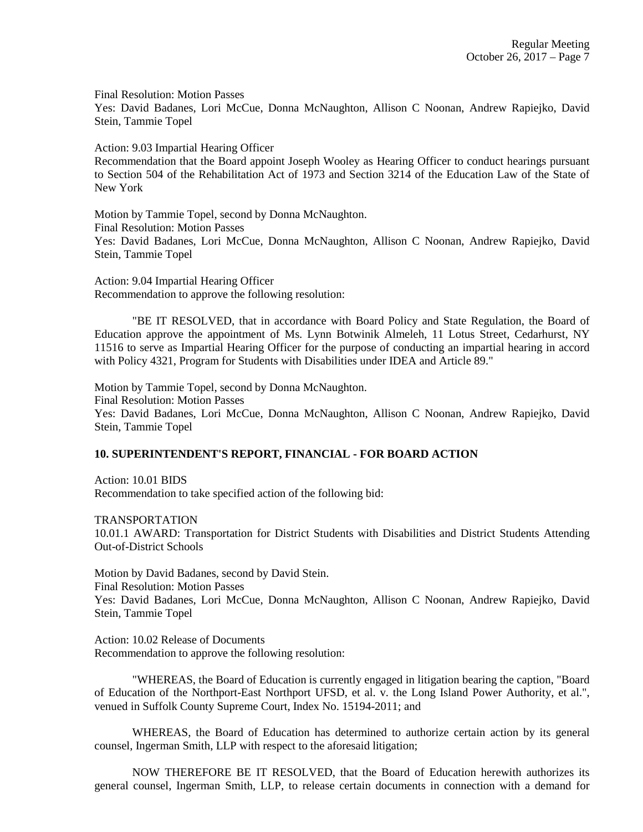Final Resolution: Motion Passes

Yes: David Badanes, Lori McCue, Donna McNaughton, Allison C Noonan, Andrew Rapiejko, David Stein, Tammie Topel

Action: 9.03 Impartial Hearing Officer

Recommendation that the Board appoint Joseph Wooley as Hearing Officer to conduct hearings pursuant to Section 504 of the Rehabilitation Act of 1973 and Section 3214 of the Education Law of the State of New York

Motion by Tammie Topel, second by Donna McNaughton. Final Resolution: Motion Passes Yes: David Badanes, Lori McCue, Donna McNaughton, Allison C Noonan, Andrew Rapiejko, David Stein, Tammie Topel

Action: 9.04 Impartial Hearing Officer Recommendation to approve the following resolution:

"BE IT RESOLVED, that in accordance with Board Policy and State Regulation, the Board of Education approve the appointment of Ms. Lynn Botwinik Almeleh, 11 Lotus Street, Cedarhurst, NY 11516 to serve as Impartial Hearing Officer for the purpose of conducting an impartial hearing in accord with Policy 4321, Program for Students with Disabilities under IDEA and Article 89."

Motion by Tammie Topel, second by Donna McNaughton. Final Resolution: Motion Passes Yes: David Badanes, Lori McCue, Donna McNaughton, Allison C Noonan, Andrew Rapiejko, David Stein, Tammie Topel

## **10. SUPERINTENDENT'S REPORT, FINANCIAL - FOR BOARD ACTION**

Action: 10.01 BIDS Recommendation to take specified action of the following bid:

TRANSPORTATION 10.01.1 AWARD: Transportation for District Students with Disabilities and District Students Attending Out-of-District Schools

Motion by David Badanes, second by David Stein. Final Resolution: Motion Passes Yes: David Badanes, Lori McCue, Donna McNaughton, Allison C Noonan, Andrew Rapiejko, David Stein, Tammie Topel

Action: 10.02 Release of Documents Recommendation to approve the following resolution:

"WHEREAS, the Board of Education is currently engaged in litigation bearing the caption, "Board of Education of the Northport-East Northport UFSD, et al. v. the Long Island Power Authority, et al.", venued in Suffolk County Supreme Court, Index No. 15194-2011; and

WHEREAS, the Board of Education has determined to authorize certain action by its general counsel, Ingerman Smith, LLP with respect to the aforesaid litigation;

NOW THEREFORE BE IT RESOLVED, that the Board of Education herewith authorizes its general counsel, Ingerman Smith, LLP, to release certain documents in connection with a demand for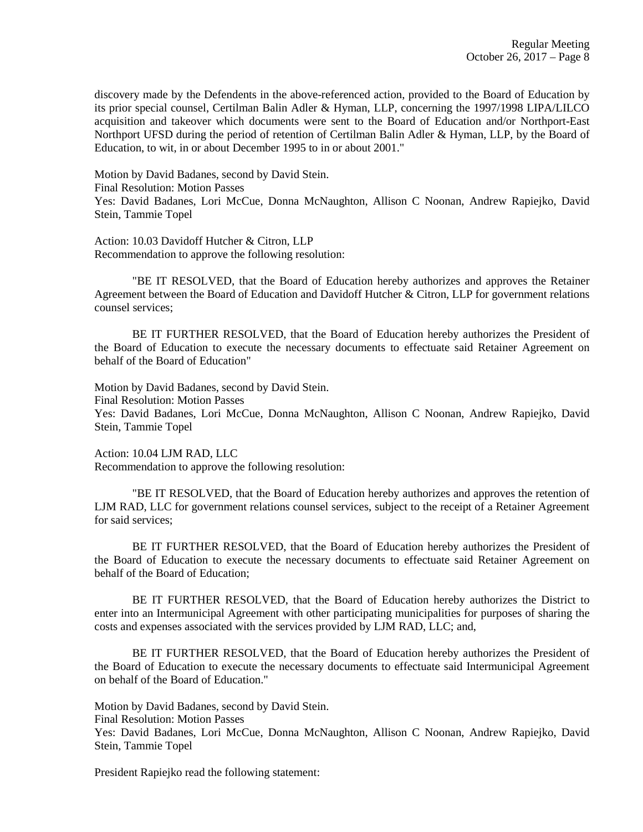discovery made by the Defendents in the above-referenced action, provided to the Board of Education by its prior special counsel, Certilman Balin Adler & Hyman, LLP, concerning the 1997/1998 LIPA/LILCO acquisition and takeover which documents were sent to the Board of Education and/or Northport-East Northport UFSD during the period of retention of Certilman Balin Adler & Hyman, LLP, by the Board of Education, to wit, in or about December 1995 to in or about 2001."

Motion by David Badanes, second by David Stein. Final Resolution: Motion Passes Yes: David Badanes, Lori McCue, Donna McNaughton, Allison C Noonan, Andrew Rapiejko, David Stein, Tammie Topel

Action: 10.03 Davidoff Hutcher & Citron, LLP Recommendation to approve the following resolution:

"BE IT RESOLVED, that the Board of Education hereby authorizes and approves the Retainer Agreement between the Board of Education and Davidoff Hutcher & Citron, LLP for government relations counsel services;

BE IT FURTHER RESOLVED, that the Board of Education hereby authorizes the President of the Board of Education to execute the necessary documents to effectuate said Retainer Agreement on behalf of the Board of Education"

Motion by David Badanes, second by David Stein.

Final Resolution: Motion Passes

Yes: David Badanes, Lori McCue, Donna McNaughton, Allison C Noonan, Andrew Rapiejko, David Stein, Tammie Topel

Action: 10.04 LJM RAD, LLC Recommendation to approve the following resolution:

"BE IT RESOLVED, that the Board of Education hereby authorizes and approves the retention of LJM RAD, LLC for government relations counsel services, subject to the receipt of a Retainer Agreement for said services;

BE IT FURTHER RESOLVED, that the Board of Education hereby authorizes the President of the Board of Education to execute the necessary documents to effectuate said Retainer Agreement on behalf of the Board of Education;

BE IT FURTHER RESOLVED, that the Board of Education hereby authorizes the District to enter into an Intermunicipal Agreement with other participating municipalities for purposes of sharing the costs and expenses associated with the services provided by LJM RAD, LLC; and,

BE IT FURTHER RESOLVED, that the Board of Education hereby authorizes the President of the Board of Education to execute the necessary documents to effectuate said Intermunicipal Agreement on behalf of the Board of Education."

Motion by David Badanes, second by David Stein.

Final Resolution: Motion Passes

Yes: David Badanes, Lori McCue, Donna McNaughton, Allison C Noonan, Andrew Rapiejko, David Stein, Tammie Topel

President Rapiejko read the following statement: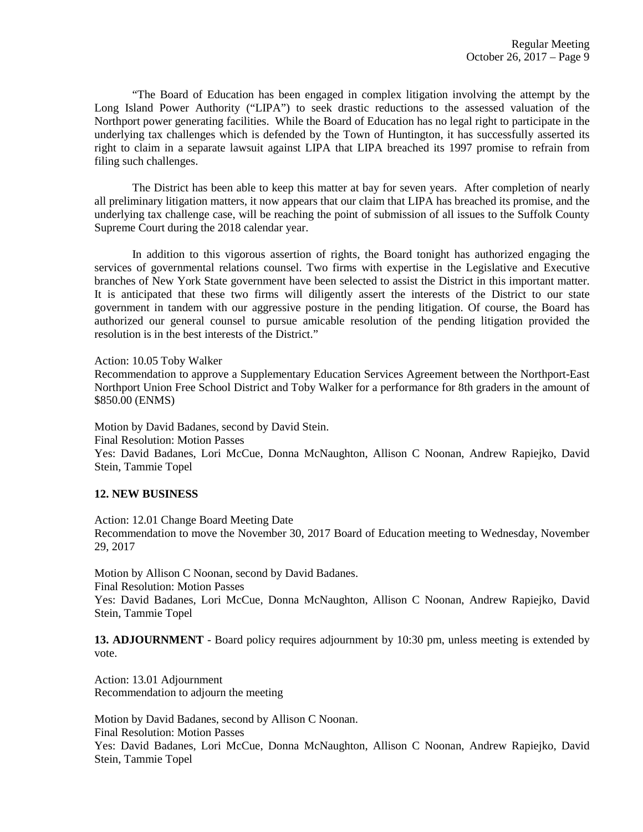"The Board of Education has been engaged in complex litigation involving the attempt by the Long Island Power Authority ("LIPA") to seek drastic reductions to the assessed valuation of the Northport power generating facilities. While the Board of Education has no legal right to participate in the underlying tax challenges which is defended by the Town of Huntington, it has successfully asserted its right to claim in a separate lawsuit against LIPA that LIPA breached its 1997 promise to refrain from filing such challenges.

 The District has been able to keep this matter at bay for seven years. After completion of nearly all preliminary litigation matters, it now appears that our claim that LIPA has breached its promise, and the underlying tax challenge case, will be reaching the point of submission of all issues to the Suffolk County Supreme Court during the 2018 calendar year.

 In addition to this vigorous assertion of rights, the Board tonight has authorized engaging the services of governmental relations counsel. Two firms with expertise in the Legislative and Executive branches of New York State government have been selected to assist the District in this important matter. It is anticipated that these two firms will diligently assert the interests of the District to our state government in tandem with our aggressive posture in the pending litigation. Of course, the Board has authorized our general counsel to pursue amicable resolution of the pending litigation provided the resolution is in the best interests of the District."

Action: 10.05 Toby Walker

Recommendation to approve a Supplementary Education Services Agreement between the Northport-East Northport Union Free School District and Toby Walker for a performance for 8th graders in the amount of \$850.00 (ENMS)

Motion by David Badanes, second by David Stein. Final Resolution: Motion Passes Yes: David Badanes, Lori McCue, Donna McNaughton, Allison C Noonan, Andrew Rapiejko, David Stein, Tammie Topel

#### **12. NEW BUSINESS**

Action: 12.01 Change Board Meeting Date Recommendation to move the November 30, 2017 Board of Education meeting to Wednesday, November 29, 2017

Motion by Allison C Noonan, second by David Badanes. Final Resolution: Motion Passes

Yes: David Badanes, Lori McCue, Donna McNaughton, Allison C Noonan, Andrew Rapiejko, David Stein, Tammie Topel

**13. ADJOURNMENT** - Board policy requires adjournment by 10:30 pm, unless meeting is extended by vote.

Action: 13.01 Adjournment Recommendation to adjourn the meeting

Motion by David Badanes, second by Allison C Noonan.

Final Resolution: Motion Passes

Yes: David Badanes, Lori McCue, Donna McNaughton, Allison C Noonan, Andrew Rapiejko, David Stein, Tammie Topel